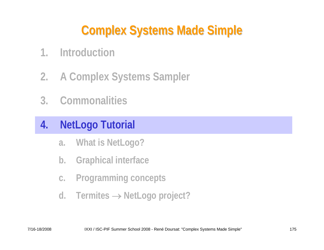# **Complex Systems Made Simple Complex Systems Made Simple**

- **1. Introduction**
- **2. A Complex Systems Sampler**
- **3. Commonalities**

### **4. NetLogo Tutorial**

- **a. What is NetLogo?**
- **b. Graphical interface**
- **c. Programming concepts**
- **d. Termites** → **NetLogo project?**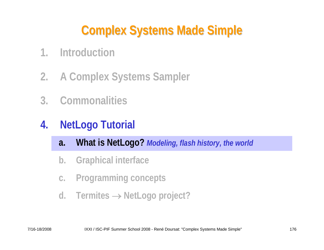# **Complex Systems Made Simple Complex Systems Made Simple**

- **1. Introduction**
- **2. A Complex Systems Sampler**
- **3. Commonalities**
- **4. NetLogo Tutorial**
	- **a. What is NetLogo?** *Modeling, flash history, the world*
	- **b. Graphical interface**
	- **c. Programming concepts**
	- **d. Termites** → **NetLogo project?**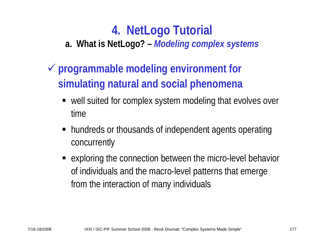**a. What is NetLogo? –** *Modeling complex systems*

- 9 **programmable modeling environment for simulating natural and social phenomena**
	- well suited for complex system modeling that evolves over time
	- hundreds or thousands of independent agents operating concurrently
	- exploring the connection between the micro-level behavior of individuals and the macro-level patterns that emerge from the interaction of many individuals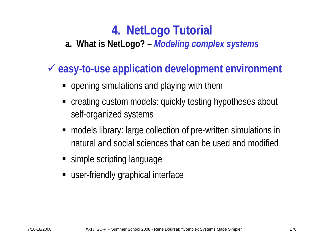#### **a. What is NetLogo? –** *Modeling complex systems*

## 9 **easy-to-use application development environment**

- **•** opening simulations and playing with them
- creating custom models: quickly testing hypotheses about self-organized systems
- models library: large collection of pre-written simulations in natural and social sciences that can be used and modified
- **Simple scripting language**
- user-friendly graphical interface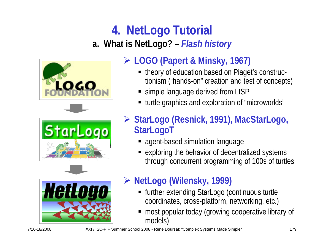# **4. NetLogo Tutorial a. What is NetLogo? –** *Flash history*



## ¾ **LOGO (Papert & Minsky, 1967)**

- theory of education based on Piaget's constructionism ("hands-on" creation and test of concepts)
- simple language derived from LISP
- turtle graphics and exploration of "microworlds"
- ¾ **StarLogo (Resnick, 1991), MacStarLogo, StarLogoT**
	- agent-based simulation language
	- ٠ exploring the behavior of decentralized systems through concurrent programming of 100s of turtles



### ¾ **NetLogo (Wilensky, 1999)**

- further extending StarLogo (continuous turtle coordinates, cross-platform, networking, etc.)
- ٠ most popular today (growing cooperative library of models)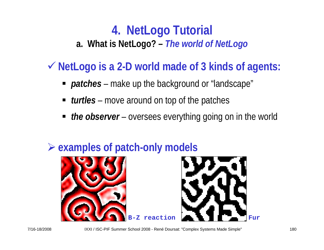# **4. NetLogo Tutorial a. What is NetLogo? –** *The world of NetLogo*

9 **NetLogo is a 2-D world made of 3 kinds of agents:**

- *patches* make up the background or "landscape"
- *turtles* move around on top of the patches
- *the observer* oversees everything going on in the world



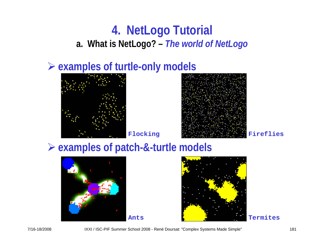## **4. NetLogo Tutorial a. What is NetLogo? –** *The world of NetLogo*

### ¾ **examples of turtle-only models**





### ¾ **examples of patch-&-turtle models**





7/16-18/2008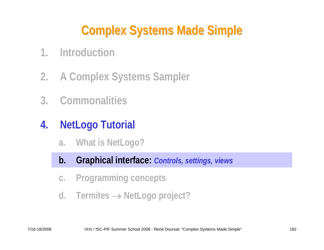# **Complex Systems Made Simple Complex Systems Made Simple**

- **1. Introduction**
- **2. A Complex Systems Sampler**
- **3. Commonalities**
- **4. NetLogo Tutorial**
	- **a. What is NetLogo?**
	- **b. Graphical interface:** *Controls, settings, views*
	- **c. Programming concepts**
	- **d. Termites** → **NetLogo project?**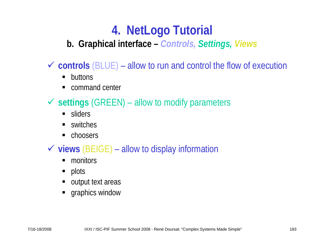#### **b. Graphical interface –** *Controls, Settings, Views*

 $\checkmark$  controls (BLUE) – allow to run and control the flow of execution

- $\blacksquare$ buttons
- $\blacksquare$ command center

9 **settings** (GREEN) – allow to modify parameters

- **sliders**
- П switches
- ш choosers

#### 9 **views** (BEIGE) – allow to display information

- $\blacksquare$ monitors
- $\blacksquare$ plots
- output text areas
- **graphics window**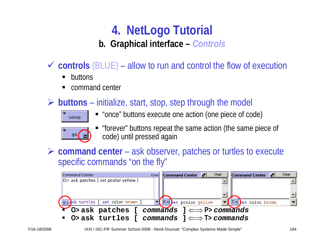#### **b. Graphical interface –** *Controls*

- $\checkmark$  controls (BLUE) allow to run and control the flow of execution
	- $\blacksquare$ buttons
	- П command center
- ¾ **buttons** initialize, start, stop, step through the model



"once" buttons execute one action (one piece of code)



- П "forever" buttons repeat the same action (the same piece of code) until pressed again
- ¾ **command center** ask observer, patches or turtles to execute specific commands "on the fly"

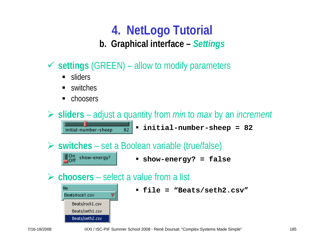# **4. NetLogo Tutorial b. Graphical interface –** *Settings*

- 9 **settings** (GREEN) allow to modify parameters
	- **sliders**
	- П switches
	- $\blacksquare$ choosers

¾ **sliders** – adjust a quantity from *min* to *max* by an *increment* **initial-number-sheep = 82** 82 initial-number-sheep

¾ **switches** – set a Boolean variable (true/false)

**show-energy? = false**

¾ **choosers** – select a value from a list



On show-energy?

**file = "Beats/seth2.csv"**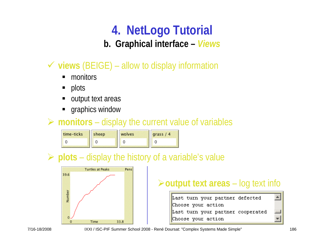**b. Graphical interface –** *Views*

- 9 **views** (BEIGE) allow to display information
	- П monitors
	- П plots
	- ш output text areas
	- П graphics window

#### ¾ **monitors** – display the current value of variables

| time-ticks | sheep | wolves | grass $/4$ |
|------------|-------|--------|------------|
|            |       |        |            |

### ¾ **plots** – display the history of a variable's value



### ¾**output text areas** – log text info

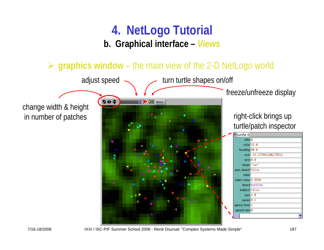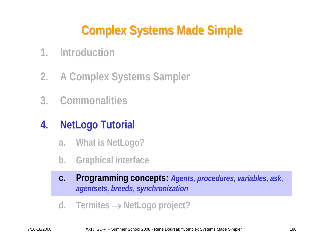# **Complex Systems Made Simple Complex Systems Made Simple**

- **1. Introduction**
- **2. A Complex Systems Sampler**
- **3. Commonalities**

# **4. NetLogo Tutorial**

- **a. What is NetLogo?**
- **b. Graphical interface**
- **c. Programming concepts:** *Agents, procedures, variables, ask, agentsets, breeds, synchronization*
- **d. Termites** → **NetLogo project?**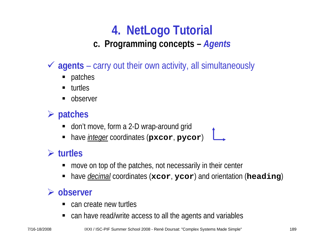#### **c. Programming concepts –** *Agents*

- 9 **agents**  carry out their own activity, all simultaneously
	- $\blacksquare$ patches
	- П turtles
	- ш observer

### ¾ **patches**

- п don't move, form a 2-D wrap-around grid
- $\blacksquare$ have *integer* coordinates (**pxcor**, **pycor**)

#### ¾ **turtles**

- П move on top of the patches, not necessarily in their center
- П have *decimal* coordinates (**xcor**, **ycor**) and orientation (**heading**)

#### ¾ **observer**

- П can create new turtles
- can have read/write access to all the agents and variables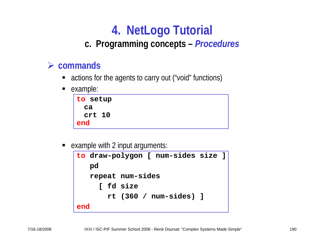#### **c. Programming concepts –** *Procedures*

#### ¾ **commands**

- actions for the agents to carry out ("void" functions)
- $\blacksquare$ example:

п example with 2 input arguments:

```
to draw-polygon [ num-sides size ]
   pd
   repeat num-sides
       [ fd size
       rt (360 / num-sides) ]
end
```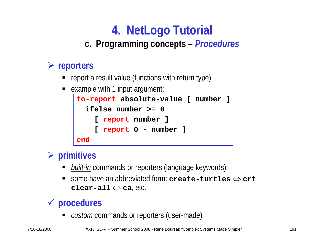#### **c. Programming concepts –** *Procedures*

#### ¾ **reporters**

- П report a result value (functions with return type)
- П example with 1 input argument:



#### ¾ **primitives**

- п *built-in* commands or reporters (language keywords)
- $\blacksquare$  some have an abbreviated form: **create-turtles** ⇔ **crt**, **clear-all** ⇔ **ca**, etc.

### 9 **procedures**

П ■ *custom* commands or reporters (user-made)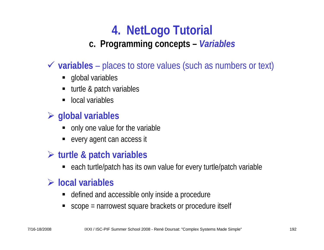#### **c. Programming concepts –** *Variables*

- 9 **variables**  places to store values (such as numbers or text)
	- **global variables**
	- П turtle & patch variables
	- п local variables

#### ¾ **global variables**

- п only one value for the variable
- ш every agent can access it

#### ¾ **turtle & patch variables**

■ each turtle/patch has its own value for every turtle/patch variable

#### ¾ **local variables**

- $\blacksquare$ defined and accessible only inside a procedure
- П scope = narrowest square brackets or procedure itself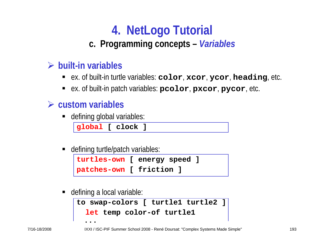#### **c. Programming concepts –** *Variables*

#### ¾ **built-in variables**

- ex. of built-in turtle variables: **color**, **xcor**, **ycor**, **heading**, etc.
- ex. of built-in patch variables: **pcolor**, **pxcor**, **pycor**, etc.

#### ¾ **custom variables**

defining global variables:

**global [ clock ]**

■ defining turtle/patch variables:

```
turtles-own [ energy speed ]
patches-own [ friction ]
```
п defining a local variable:

```
to swap-colors [ turtle1 turtle2 ]
  let temp color-of turtle1
  ...
```
7/16-18/2008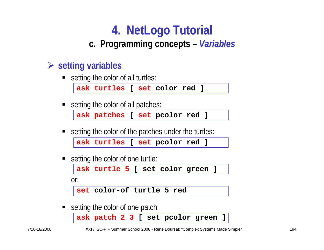#### **c. Programming concepts –** *Variables*

#### ¾ **setting variables**

П setting the color of all turtles:

**ask turtles [ set color red ]**

П setting the color of all patches:

```
ask patches [ set pcolor red ]
```
setting the color of the patches under the turtles:

```
ask turtles [ set pcolor red ]
```
ш setting the color of one turtle:

**ask turtle 5 [ set color green ]**

or:

**set color-of turtle 5 red**

П setting the color of one patch:

**ask patch 2 3 [ set pcolor green ]**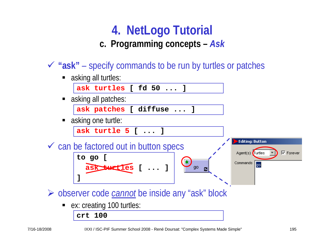### **4. NetLogo Tutorial c. Programming concepts –** *Ask*

9 **"ask"** – specify commands to be run by turtles or patches

П asking all turtles:

**ask turtles [ fd 50 ... ]**

■ asking all patches:

**ask patches [ diffuse ... ]**

П asking one turtle:

**ask turtle 5 [ ... ]**

 $\checkmark$  can be factored out in button specs **to go [**

**Editing: Button**  $\nabla$  Forever Agent(s) Turtles Commands | qo

¾ observer code *cannot* be inside any "ask" block

**ask turtles [ ... ]**

П ex: creating 100 turtles:

**crt 100**

**]**

go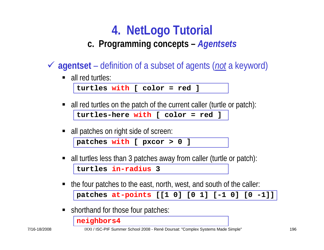#### **c. Programming concepts –** *Agentsets*

- 9 **agentset**  definition of a subset of agents (*not* a keyword)
	- all red turtles:

```
turtles with [ color = red ]
```
- П all red turtles on the patch of the current caller (turtle or patch): **turtles-here with [ color = red ]**
- all patches on right side of screen:

**patches with [ pxcor > 0 ]**

- П all turtles less than 3 patches away from caller (turtle or patch): **turtles in-radius 3**
- the four patches to the east, north, west, and south of the caller: **patches at-points [[1 0] [0 1] [-1 0] [0 -1]]**
- П shorthand for those four patches:

**neighbors4**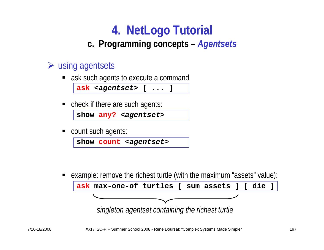#### **c. Programming concepts –** *Agentsets*

#### $\triangleright$  using agentsets

■ ask such agents to execute a command

```
ask <agentset> [ ... ]
```
П check if there are such agents:

```
show any? <agentset>
```
 $\blacksquare$ count such agents:

```
show count <agentset>
```
П example: remove the richest turtle (with the maximum "assets" value):



*singleton agentset containing the richest turtle*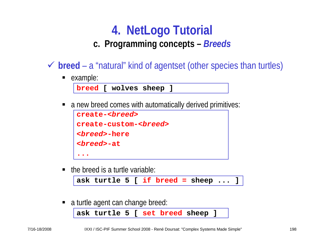**c. Programming concepts –** *Breeds*

- ◆ **breed** a "natural" kind of agentset (other species than turtles)
	- **example:**

**breed [ wolves sheep ]**

П a new breed comes with automatically derived primitives:

```
create-<breed>create-custom-<breed>
<breed>-here
<breed>-at...
```
 $\blacksquare$  the breed is a turtle variable:

**ask turtle 5 [ if breed = sheep ... ]**

П a turtle agent can change breed:

```
ask turtle 5 [ set breed sheep ]
```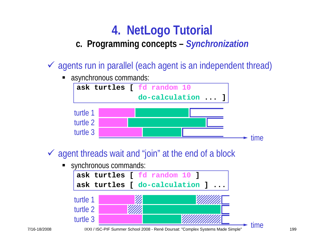#### **c. Programming concepts –** *Synchronization*

- $\checkmark$  agents run in parallel (each agent is an independent thread)
	- П asynchronous commands:



- $\checkmark$  agent threads wait and "join" at the end of a block
	- synchronous commands:

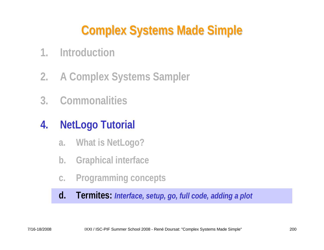# **Complex Systems Made Simple Complex Systems Made Simple**

- **1. Introduction**
- **2. A Complex Systems Sampler**
- **3. Commonalities**

# **4. NetLogo Tutorial**

- **a. What is NetLogo?**
- **b. Graphical interface**
- **c. Programming concepts**

**d. Termites:** *Interface, setup, go, full code, adding a plot*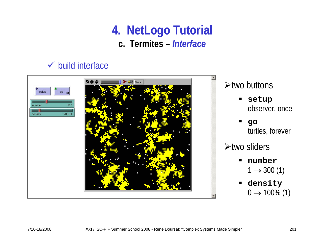### **4. NetLogo Tutorial c. Termites –** *Interface*

#### $\checkmark$  build interface

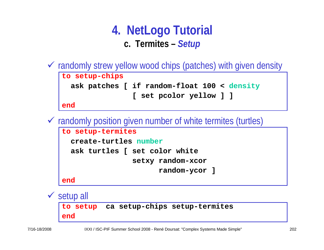### **4. NetLogo Tutorial c. Termites –** *Setup*

 $\checkmark$  randomly strew yellow wood chips (patches) with given density **to setup-chips ask patches [ if random-float 100 < density [ set pcolor yellow ] ]**

**end**

 $\checkmark$  randomly position given number of white termites (turtles)

```
to setup-termites
  create-turtles number
  ask turtles [ set color white
                setxy random-xcor
                      random-ycor ]
end
```
 $\checkmark$  setup all **to setup ca setup-chips setup-termites**

**end**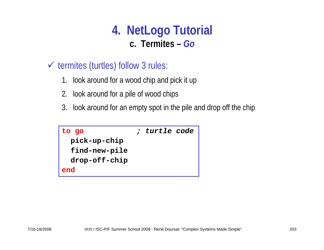### **4. NetLogo Tutorial c. Termites –** *Go*

- $\checkmark$  termites (turtles) follow 3 rules:
	- 1. look around for a wood chip and pick it up
	- 2. look around for a pile of wood chips
	- 3. look around for an empty spot in the pile and drop off the chip

| to go         | ; turtle code |  |
|---------------|---------------|--|
| pick-up-chip  |               |  |
| find-new-pile |               |  |
| drop-off-chip |               |  |
| end           |               |  |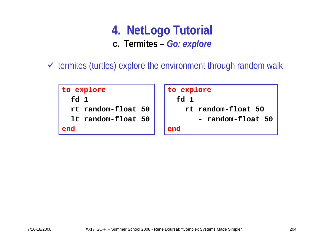### **4. NetLogo Tutorial c. Termites –** *Go: explore*

 $\checkmark$  termites (turtles) explore the environment through random walk

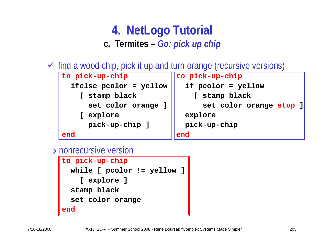## **4. NetLogo Tutorial c. Termites –** *Go: pick up chip*

 $\checkmark$  find a wood chip, pick it up and turn orange (recursive versions)



 $\rightarrow$  nonrecursive version

```
to pick-up-chip
 while [ pcolor != yellow ]
    [ explore ]
  stamp black
  set color orange
end
```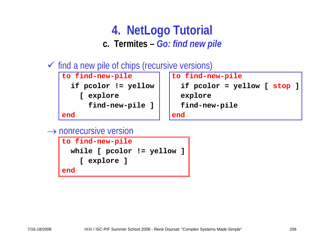### **4. NetLogo Tutorial c. Termites –** *Go: find new pile*

 $\checkmark$  find a new pile of chips (recursive versions)



```
if pcolor != yellow if pcolor = yellow [ stop ]
end end
```
 $\rightarrow$  nonrecursive version

```
to find-new-pile
 while [ pcolor != yellow ]
    [ explore ]
end
```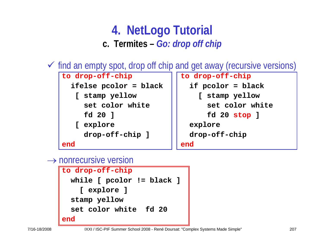### **4. NetLogo Tutorial c. Termites –** *Go: drop off chip*

 $\checkmark$  find an empty spot, drop off chip and get away (recursive versions)

```
to drop-off-chip and loss are lossed in the drop-off-chip
 ifelse pcolor = black if pcolor = black
  [ stamp yellow [ stamp yellow
   set color white \vert \vert set color white
   fd 20 ] fd 20 stop ]
  [ explore explore
   drop-off-chip ] drop-off-chip 
end end
```
#### $\rightarrow$  nonrecursive version

```
to drop-off-chip
 while [ pcolor != black ]
    [ explore ]
 stamp yellow
 set color white fd 20end
```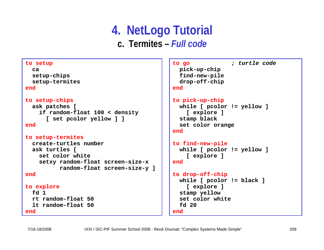### **4. NetLogo Tutorial c. Termites –** *Full code*

```
to setup
  ca setup-chips 
  setup-termites
endto setup-chips
  ask patches [
    if random-float 100 < density 
      [ set pcolor yellow ] ]
endto setup-termites
  create-turtles numberask turtles [
    set color whitesetxy random-float screen-size-x
          random-float screen-size-y ]
endto explore
  fd 1rt random-float 50lt random-float 50end
```

```
to go ; turtle code
 pick-up-chip 
 find-new-pile 
 drop-off-chip
end
```

```
to pick-up-chip
  while [ pcolor != yellow ]
    [ explore ]
  stamp black
  set color orange
```

```
end
```

```
to find-new-pile
 while [ pcolor != yellow ]
    [ explore ]
end
```

```
to drop-off-chip
 while [ pcolor != black ]
    [ explore ]
  stamp yellow
  set color whitefd 20end
```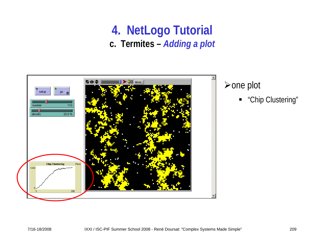### **4. NetLogo Tutorial c. Termites –** *Adding a plot*

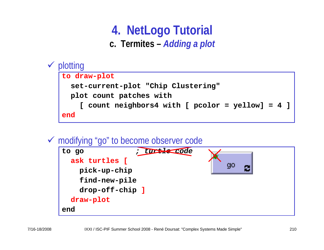## **4. NetLogo Tutorial c. Termites –** *Adding a plot*



#### 9 modifying "go" to become observer code